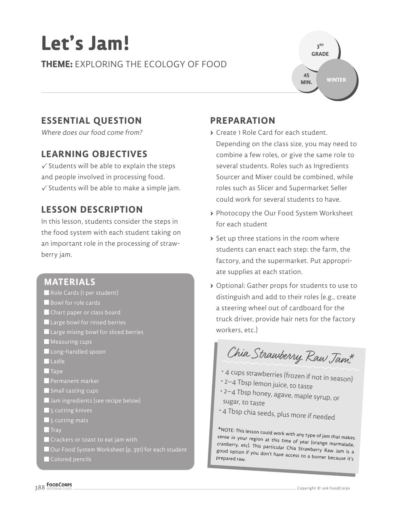# **Let's Jam!**

**THEME:** EXPLORING THE ECOLOGY OF FOOD



## **ESSENTIAL QUESTION**

Where does our food come from?

## **LEARNING OBJECTIVES**

 $\checkmark$  Students will be able to explain the steps and people involved in processing food.  $\checkmark$  Students will be able to make a simple jam.

## **LESSON DESCRIPTION**

In this lesson, students consider the steps in the food system with each student taking on an important role in the processing of strawberry jam.

## **MATERIALS**

- Role Cards (1 per student)
- Bowl for role cards
- Chart paper or class board
- Large bowl for rinsed berries
- Large mixing bowl for sliced berries
- **Measuring cups**
- Long-handled spoon
- Ladle
- **Tape**
- **Permanent marker**
- Small tasting cups
- Jam ingredients (see recipe below)
- **5** cutting knives
- **5** cutting mats
- $\blacksquare$  Tray
- **C** Crackers or toast to eat jam with
- Our Food System Worksheet (p. 391) for each student
- Colored pencils

## **PREPARATION**

- **>** Create 1 Role Card for each student. Depending on the class size, you may need to combine a few roles, or give the same role to several students. Roles such as Ingredients Sourcer and Mixer could be combined, while roles such as Slicer and Supermarket Seller could work for several students to have.
- **>** Photocopy the Our Food System Worksheet for each student
- **>** Set up three stations in the room where students can enact each step: the farm, the factory, and the supermarket. Put appropriate supplies at each station.
- **>** Optional: Gather props for students to use to distinguish and add to their roles (e.g., create a steering wheel out of cardboard for the truck driver, provide hair nets for the factory workers, etc.)

Chia Strawberry Raw Jam<sup>\*</sup>

- 4 cups strawberries (frozen if not in season)
- 2–4 Tbsp lemon juice, to taste
- 2–4 Tbsp honey, agave, maple syrup, or sugar, to taste
- 4 Tbsp chia seeds, plus more if needed

\*NOTE: This lesson could work with any type of jam that makes<br>sense in your region at this time of year (orange marmalade,  $c$ ranberry, etc). This particular Chia Strawberry Raw Jam is a good option if you don't have access to a burner because it's<br>Prepared raw.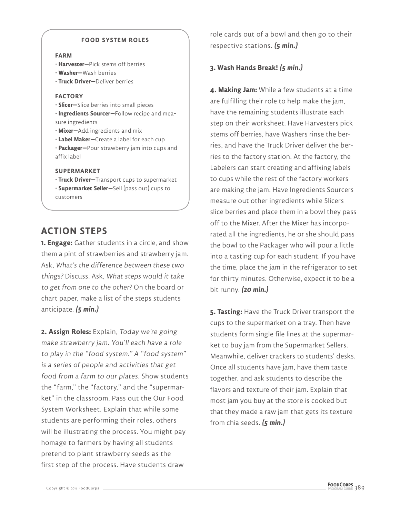#### **FOOD SYSTEM ROLES**

#### **FARM**

- **Harvester—**Pick stems off berries
- **Washer—**Wash berries
- **Truck Driver—**Deliver berries

#### **FACTORY**

• **Slicer—**Slice berries into small pieces

• **Ingredients Sourcer—**Follow recipe and measure ingredients

• **Mixer—**Add ingredients and mix

• **Label Maker—**Create a label for each cup

• **Packager—**Pour strawberry jam into cups and affix label

#### **SUPERMARKET**

• **Truck Driver—**Transport cups to supermarket

• **Supermarket Seller—**Sell (pass out) cups to customers

## **ACTION STEPS**

**1. Engage:** Gather students in a circle, and show them a pint of strawberries and strawberry jam. Ask, What's the difference between these two things? Discuss. Ask, What steps would it take to get from one to the other? On the board or chart paper, make a list of the steps students anticipate. **(5 min.)**

**2. Assign Roles:** Explain, Today we're going make strawberry jam. You'll each have a role to play in the "food system." A "food system" is a series of people and activities that get food from a farm to our plates. Show students the "farm," the "factory," and the "supermarket" in the classroom. Pass out the Our Food System Worksheet. Explain that while some students are performing their roles, others will be illustrating the process. You might pay homage to farmers by having all students pretend to plant strawberry seeds as the first step of the process. Have students draw

role cards out of a bowl and then go to their respective stations. **(5 min.)**

### **3. Wash Hands Break! (5 min.)**

**4. Making Jam:** While a few students at a time are fulfilling their role to help make the jam, have the remaining students illustrate each step on their worksheet. Have Harvesters pick stems off berries, have Washers rinse the berries, and have the Truck Driver deliver the berries to the factory station. At the factory, the Labelers can start creating and affixing labels to cups while the rest of the factory workers are making the jam. Have Ingredients Sourcers measure out other ingredients while Slicers slice berries and place them in a bowl they pass off to the Mixer. After the Mixer has incorporated all the ingredients, he or she should pass the bowl to the Packager who will pour a little into a tasting cup for each student. If you have the time, place the jam in the refrigerator to set for thirty minutes. Otherwise, expect it to be a bit runny. **(20 min.)**

**5. Tasting:** Have the Truck Driver transport the cups to the supermarket on a tray. Then have students form single file lines at the supermarket to buy jam from the Supermarket Sellers. Meanwhile, deliver crackers to students' desks. Once all students have jam, have them taste together, and ask students to describe the flavors and texture of their jam. Explain that most jam you buy at the store is cooked but that they made a raw jam that gets its texture from chia seeds. **(5 min.)**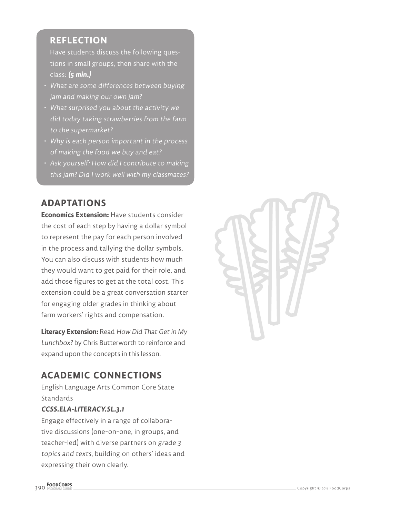## **REFLECTION**

Have students discuss the following questions in small groups, then share with the class: **(5 min.)**

- What are some differences between buying jam and making our own jam?
- What surprised you about the activity we did today taking strawberries from the farm to the supermarket?
- Why is each person important in the process of making the food we buy and eat?
- Ask yourself: How did I contribute to making this jam? Did I work well with my classmates?

## **ADAPTATIONS**

**Economics Extension:** Have students consider the cost of each step by having a dollar symbol to represent the pay for each person involved in the process and tallying the dollar symbols. You can also discuss with students how much they would want to get paid for their role, and add those figures to get at the total cost. This extension could be a great conversation starter for engaging older grades in thinking about farm workers' rights and compensation.

**Literacy Extension:** Read How Did That Get in My Lunchbox? by Chris Butterworth to reinforce and expand upon the concepts in this lesson.

# **ACADEMIC CONNECTIONS**

English Language Arts Common Core State **Standards** 

## **CCSS.ELA-LITERACY.SL.3.1**

Engage effectively in a range of collaborative discussions (one-on-one, in groups, and teacher-led) with diverse partners on grade 3 topics and texts, building on others' ideas and expressing their own clearly.